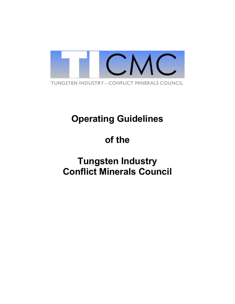

## **Operating Guidelines**

# **of the**

## **Tungsten Industry Conflict Minerals Council**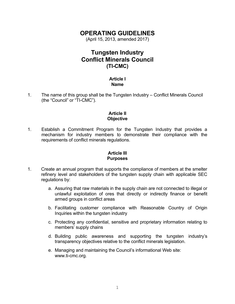### **OPERATING GUIDELINES**

(April 15, 2013, amended 2017)

### **Tungsten Industry Conflict Minerals Council (TI-CMC)**

#### **Article I Name**

1. The name of this group shall be the Tungsten Industry – Conflict Minerals Council (the "Council" or "TI-CMC").

#### **Article II Objective**

1. Establish a Commitment Program for the Tungsten Industry that provides a mechanism for industry members to demonstrate their compliance with the requirements of conflict minerals regulations.

#### **Article III Purposes**

- 1. Create an annual program that supports the compliance of members at the smelter refinery level and stakeholders of the tungsten supply chain with applicable SEC regulations by:
	- a. Assuring that raw materials in the supply chain are not connected to illegal or unlawful exploitation of ores that directly or indirectly finance or benefit armed groups in conflict areas
	- b. Facilitating customer compliance with Reasonable Country of Origin Inquiries within the tungsten industry
	- c. Protecting any confidential, sensitive and proprietary information relating to members' supply chains
	- d. Building public awareness and supporting the tungsten industry's transparency objectives relative to the conflict minerals legislation.
	- e. Managing and maintaining the Council's informational Web site: www.ti-cmc.org.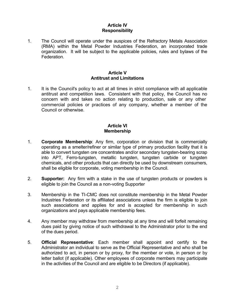#### **Article IV Responsibility**

1. The Council will operate under the auspices of the Refractory Metals Association (RMA) within the Metal Powder Industries Federation, an incorporated trade organization. It will be subject to the applicable policies, rules and bylaws of the Federation.

#### **Article V Antitrust and Limitations**

1. It is the Council's policy to act at all times in strict compliance with all applicable antitrust and competition laws. Consistent with that policy, the Council has no concern with and takes no action relating to production, sale or any other commercial policies or practices of any company, whether a member of the Council or otherwise.

#### **Article VI Membership**

- 1. **Corporate Membership**: Any firm, corporation or division that is commercially operating as a smelter/refiner or similar type of primary production facility that it is able to convert tungsten ore concentrates and/or secondary tungsten-bearing scrap into APT, Ferro-tungsten, metallic tungsten, tungsten carbide or tungsten chemicals, and other products that can directly be used by downstream consumers, shall be eligible for corporate, voting membership in the Council.
- 2. **Supporter:** Any firm with a stake in the use of tungsten products or powders is eligible to join the Council as a non-voting Supporter
- 3. Membership in the TI-CMC does not constitute membership in the Metal Powder Industries Federation or its affiliated associations unless the firm is eligible to join such associations and applies for and is accepted for membership in such organizations and pays applicable membership fees.
- 4. Any member may withdraw from membership at any time and will forfeit remaining dues paid by giving notice of such withdrawal to the Administrator prior to the end of the dues period.
- 5. **Official Representative**: Each member shall appoint and certify to the Administrator an individual to serve as the Official Representative and who shall be authorized to act, in person or by proxy, for the member or vote, in person or by letter ballot (if applicable). Other employees of corporate members may participate in the activities of the Council and are eligible to be Directors (if applicable).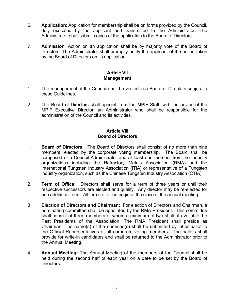- 6. **Application**: Application for membership shall be on forms provided by the Council, duly executed by the applicant and transmitted to the Administrator. The Administrator shall submit copies of the application to the Board of Directors.
- 7. **Admission**: Action on an application shall be by majority vote of the Board of Directors. The Administrator shall promptly notify the applicant of the action taken by the Board of Directors on its application.

#### **Article VII Management**

- 1. The management of the Council shall be vested in a Board of Directors subject to these Guidelines.
- 2. The Board of Directors shall appoint from the MPIF Staff, with the advice of the MPIF Executive Director, an Administrator who shall be responsible for the administration of the Council and its activities.

#### **Article VIII Board of Directors**

- 1. **Board of Directors:** The Board of Directors shall consist of no more than nine members, elected by the corporate voting membership. The Board shall be comprised of a Council Administrator and at least one member from the industry organizations including the Refractory Metals Association (RMA) and the International Tungsten Industry Association (ITIA) or representative of a Tungsten industry organization, such as the Chinese Tungsten Industry Association (CTIA).
- 2. **Term of Office:** Directors shall serve for a term of three years or until their respective successors are elected and qualify. Any director may be re-elected for one additional term. All terms of office begin at the close of the annual meeting.
- 3. **Election of Directors and Chairman:** For election of Directors and Chairman, a nominating committee shall be appointed by the RMA President. This committee shall consist of three members of whom a minimum of two shall, if available, be Past Presidents of the Association. The RMA President shall preside as Chairman. The name(s) of the nominee(s) shall be submitted by letter ballot to the Official Representatives of all corporate voting members. The ballots shall provide for write-in candidates and shall be returned to the Administrator prior to the Annual Meeting.
- 4. **Annual Meeting:** The Annual Meeting of the members of the Council shall be held during the second half of each year on a date to be set by the Board of Directors.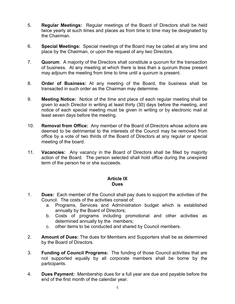- 5. **Regular Meetings:** Regular meetings of the Board of Directors shall be held twice yearly at such times and places as from time to time may be designated by the Chairman.
- 6. **Special Meetings:** Special meetings of the Board may be called at any time and place by the Chairman, or upon the request of any two Directors.
- 7. **Quorum**: A majority of the Directors shall constitute a quorum for the transaction of business. At any meeting at which there is less than a quorum those present may adjourn the meeting from time to time until a quorum is present.
- 8. **Order of Business:** At any meeting of the Board, the business shall be transacted in such order as the Chairman may determine.
- 9. **Meeting Notice:** Notice of the time and place of each regular meeting shall be given to each Director in writing at least thirty (30) days before the meeting, and notice of each special meeting must be given in writing or by electronic mail at least seven days before the meeting.
- 10. **Removal from Office:** Any member of the Board of Directors whose actions are deemed to be detrimental to the interests of the Council may be removed from office by a vote of two thirds of the Board of Directors at any regular or special meeting of the board.
- 11. **Vacancies:** Any vacancy in the Board of Directors shall be filled by majority action of the Board. The person selected shall hold office during the unexpired term of the person he or she succeeds.

#### **Article IX Dues**

- 1. **Dues:** Each member of the Council shall pay dues to support the activities of the Council. The costs of the activities consist of:
	- a. Programs, Services and Administration budget which is established annually by the Board of Directors;
	- b. Costs of programs including promotional and other activities as determined annually by the members;
	- c. other items to be conducted and shared by Council members.
- 2. **Amount of Dues:** The dues for Members and Supporters shall be as determined by the Board of Directors.
- 3. **Funding of Council Programs:** The funding of those Council activities that are not supported equally by all corporate members shall be borne by the participants.
- 4. **Dues Payment:** Membership dues for a full year are due and payable before the end of the first month of the calendar year.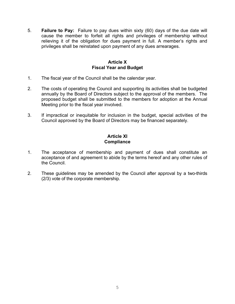5. **Failure to Pay:** Failure to pay dues within sixty (60) days of the due date will cause the member to forfeit all rights and privileges of membership without relieving it of the obligation for dues payment in full. A member's rights and privileges shall be reinstated upon payment of any dues arrearages.

#### **Article X Fiscal Year and Budget**

- 1. The fiscal year of the Council shall be the calendar year.
- 2. The costs of operating the Council and supporting its activities shall be budgeted annually by the Board of Directors subject to the approval of the members. The proposed budget shall be submitted to the members for adoption at the Annual Meeting prior to the fiscal year involved.
- 3. If impractical or inequitable for inclusion in the budget, special activities of the Council approved by the Board of Directors may be financed separately.

#### **Article XI Compliance**

- 1. The acceptance of membership and payment of dues shall constitute an acceptance of and agreement to abide by the terms hereof and any other rules of the Council.
- 2. These guidelines may be amended by the Council after approval by a two-thirds (2/3) vote of the corporate membership.